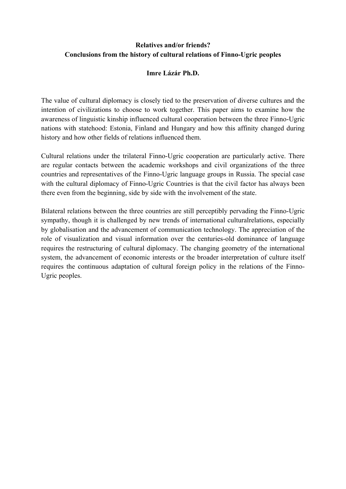# **Relatives and/or friends? Conclusions from the history of cultural relations of Finno-Ugric peoples**

## **Imre Lázár Ph.D.**

The value of cultural diplomacy is closely tied to the preservation of diverse cultures and the intention of civilizations to choose to work together. This paper aims to examine how the awareness of linguistic kinship influenced cultural cooperation between the three Finno-Ugric nations with statehood: Estonia, Finland and Hungary and how this affinity changed during history and how other fields of relations influenced them.

Cultural relations under the trilateral Finno-Ugric cooperation are particularly active. There are regular contacts between the academic workshops and civil organizations of the three countries and representatives of the Finno-Ugric language groups in Russia. The special case with the cultural diplomacy of Finno-Ugric Countries is that the civil factor has always been there even from the beginning, side by side with the involvement of the state.

Bilateral relations between the three countries are still perceptibly pervading the Finno-Ugric sympathy, though it is challenged by new trends of international culturalrelations, especially by globalisation and the advancement of communication technology. The appreciation of the role of visualization and visual information over the centuries-old dominance of language requires the restructuring of cultural diplomacy. The changing geometry of the international system, the advancement of economic interests or the broader interpretation of culture itself requires the continuous adaptation of cultural foreign policy in the relations of the Finno-Ugric peoples.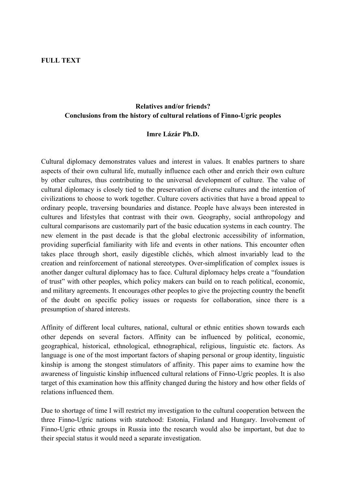#### **FULL TEXT**

# **Relatives and/or friends? Conclusions from the history of cultural relations of Finno-Ugric peoples**

#### **Imre Lázár Ph.D.**

Cultural diplomacy demonstrates values and interest in values. It enables partners to share aspects of their own cultural life, mutually influence each other and enrich their own culture by other cultures, thus contributing to the universal development of culture. The value of cultural diplomacy is closely tied to the preservation of diverse cultures and the intention of civilizations to choose to work together. Culture covers activities that have a broad appeal to ordinary people, traversing boundaries and distance. People have always been interested in cultures and lifestyles that contrast with their own. Geography, social anthropology and cultural comparisons are customarily part of the basic education systems in each country. The new element in the past decade is that the global electronic accessibility of information, providing superficial familiarity with life and events in other nations. This encounter often takes place through short, easily digestible clichés, which almost invariably lead to the creation and reinforcement of national stereotypes. Over-simplification of complex issues is another danger cultural diplomacy has to face. Cultural diplomacy helps create a "foundation of trust" with other peoples, which policy makers can build on to reach political, economic, and military agreements. It encourages other peoples to give the projecting country the benefit of the doubt on specific policy issues or requests for collaboration, since there is a presumption of shared interests.

Affinity of different local cultures, national, cultural or ethnic entities shown towards each other depends on several factors. Affinity can be influenced by political, economic, geographical, historical, ethnological, ethnographical, religious, linguistic etc. factors. As language is one of the most important factors of shaping personal or group identity, linguistic kinship is among the stongest stimulators of affinity. This paper aims to examine how the awareness of linguistic kinship influenced cultural relations of Finno-Ugric peoples. It is also target of this examination how this affinity changed during the history and how other fields of relations influenced them.

Due to shortage of time I will restrict my investigation to the cultural cooperation between the three Finno-Ugric nations with statehood: Estonia, Finland and Hungary. Involvement of Finno-Ugric ethnic groups in Russia into the research would also be important, but due to their special status it would need a separate investigation.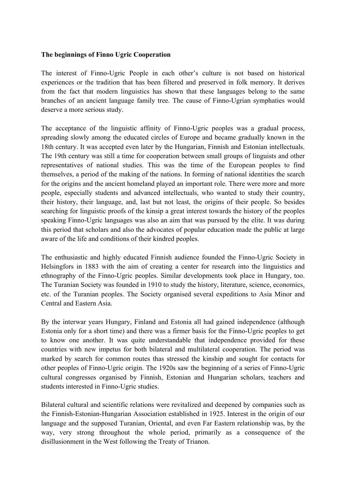#### **The beginnings of Finno Ugric Cooperation**

The interest of Finno-Ugric People in each other's culture is not based on historical experiences or the tradition that has been filtered and preserved in folk memory. It derives from the fact that modern linguistics has shown that these languages belong to the same branches of an ancient language family tree. The cause of Finno-Ugrian symphaties would deserve a more serious study.

The acceptance of the linguistic affinity of Finno-Ugric peoples was a gradual process, spreading slowly among the educated circles of Europe and became gradually known in the 18th century. It was accepted even later by the Hungarian, Finnish and Estonian intellectuals. The 19th century was still a time for cooperation between small groups of linguists and other representatives of national studies. This was the time of the European peoples to find themselves, a period of the making of the nations. In forming of national identities the search for the origins and the ancient homeland played an important role. There were more and more people, especially students and advanced intellectuals, who wanted to study their country, their history, their language, and, last but not least, the origins of their people. So besides searching for linguistic proofs of the kinsip a great interest towards the history of the peoples speaking Finno-Ugric languages was also an aim that was pursued by the elite. It was during this period that scholars and also the advocates of popular education made the public at large aware of the life and conditions of their kindred peoples.

The enthusiastic and highly educated Finnish audience founded the Finno-Ugric Society in Helsingfors in 1883 with the aim of creating a center for research into the linguistics and ethnography of the Finno-Ugric peoples. Similar developments took place in Hungary, too. The Turanian Society was founded in 1910 to study the history, literature, science, economics, etc. of the Turanian peoples. The Society organised several expeditions to Asia Minor and Central and Eastern Asia.

By the interwar years Hungary, Finland and Estonia all had gained independence (although Estonia only for a short time) and there was a firmer basis for the Finno-Ugric peoples to get to know one another. It was quite understandable that independence provided for these countries with new impetus for both bilateral and multilateral cooperation. The period was marked by search for common routes thas stressed the kinship and sought for contacts for other peoples of Finno-Ugric origin. The 1920s saw the beginning of a series of Finno-Ugric cultural congresses organised by Finnish, Estonian and Hungarian scholars, teachers and students interested in Finno-Ugric studies.

Bilateral cultural and scientific relations were revitalized and deepened by companies such as the Finnish-Estonian-Hungarian Association established in 1925. Interest in the origin of our language and the supposed Turanian, Oriental, and even Far Eastern relationship was, by the way, very strong throughout the whole period, primarily as a consequence of the disillusionment in the West following the Treaty of Trianon.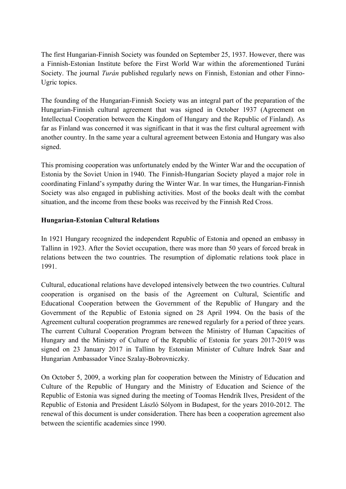The first Hungarian-Finnish Society was founded on September 25, 1937. However, there was a Finnish-Estonian Institute before the First World War within the aforementioned Turáni Society. The journal *Turán* published regularly news on Finnish, Estonian and other Finno-Ugric topics.

The founding of the Hungarian-Finnish Society was an integral part of the preparation of the Hungarian-Finnish cultural agreement that was signed in October 1937 (Agreement on Intellectual Cooperation between the Kingdom of Hungary and the Republic of Finland). As far as Finland was concerned it was significant in that it was the first cultural agreement with another country. In the same year a cultural agreement between Estonia and Hungary was also signed.

This promising cooperation was unfortunately ended by the Winter War and the occupation of Estonia by the Soviet Union in 1940. The Finnish-Hungarian Society played a major role in coordinating Finland's sympathy during the Winter War. In war times, the Hungarian-Finnish Society was also engaged in publishing activities. Most of the books dealt with the combat situation, and the income from these books was received by the Finnish Red Cross.

### **Hungarian-Estonian Cultural Relations**

In 1921 Hungary recognized the independent Republic of Estonia and opened an embassy in Tallinn in 1923. After the Soviet occupation, there was more than 50 years of forced break in relations between the two countries. The resumption of diplomatic relations took place in 1991.

Cultural, educational relations have developed intensively between the two countries. Cultural cooperation is organised on the basis of the Agreement on Cultural, Scientific and Educational Cooperation between the Government of the Republic of Hungary and the Government of the Republic of Estonia signed on 28 April 1994. On the basis of the Agreement cultural cooperation programmes are renewed regularly for a period of three years. The current Cultural Cooperation Program between the Ministry of Human Capacities of Hungary and the Ministry of Culture of the Republic of Estonia for years 2017-2019 was signed on 23 January 2017 in Tallinn by Estonian Minister of Culture Indrek Saar and Hungarian Ambassador Vince Szalay-Bobrovniczky.

On October 5, 2009, a working plan for cooperation between the Ministry of Education and Culture of the Republic of Hungary and the Ministry of Education and Science of the Republic of Estonia was signed during the meeting of Toomas Hendrik Ilves, President of the Republic of Estonia and President László Sólyom in Budapest, for the years 2010-2012. The renewal of this document is under consideration. There has been a cooperation agreement also between the scientific academies since 1990.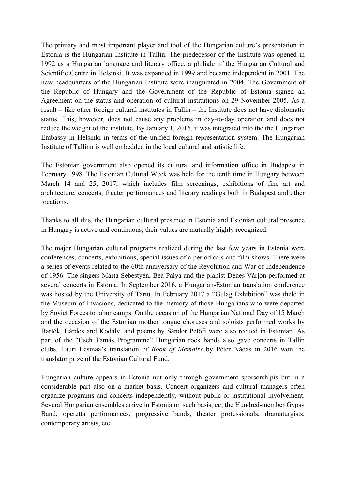The primary and most important player and tool of the Hungarian culture's presentation in Estonia is the Hungarian Institute in Tallin. The predecessor of the Institute was opened in 1992 as a Hungarian language and literary office, a philiale of the Hungarian Cultural and Scientific Centre in Helsinki. It was expanded in 1999 and became independent in 2001. The new headquarters of the Hungarian Institute were inaugurated in 2004. The Government of the Republic of Hungary and the Government of the Republic of Estonia signed an Agreement on the status and operation of cultural institutions on 29 November 2005. As a result – like other foreign cultural institutes in Tallin – the Institute does not have diplomatic status. This, however, does not cause any problems in day-to-day operation and does not reduce the weight of the institute. By January 1, 2016, it was integrated into the the Hungarian Embassy in Helsinki in terms of the unified foreign representation system. The Hungarian Institute of Tallinn is well embedded in the local cultural and artistic life.

The Estonian government also opened its cultural and information office in Budapest in February 1998. The Estonian Cultural Week was held for the tenth time in Hungary between March 14 and 25, 2017, which includes film screenings, exhibitions of fine art and architecture, concerts, theater performances and literary readings both in Budapest and other locations.

Thanks to all this, the Hungarian cultural presence in Estonia and Estonian cultural presence in Hungary is active and continuous, their values are mutually highly recognized.

The major Hungarian cultural programs realized during the last few years in Estonia were conferences, concerts, exhibitions, special issues of a periodicals and film shows. There were a series of events related to the 60th anniversary of the Revolution and War of Independence of 1956. The singers Márta Sebestyén, Bea Palya and the pianist Dénes Várjon performed at several concerts in Estonia. In September 2016, a Hungarian-Estonian translation conference was hosted by the University of Tartu. In February 2017 a "Gulag Exhibition" was theld in the Museum of Invasions, dedicated to the memory of those Hungarians who were deported by Soviet Forces to labor camps. On the occasion of the Hungarian National Day of 15 March and the occasion of the Estonian mother tongue choruses and soloists performed works by Bartók, Bárdos and Kodály, and poems by Sándor Petőfi were also recited in Estonian. As part of the "Cseh Tamás Programme" Hungarian rock bands also gave concerts in Tallin clubs. Lauri Eesmaa's translation of *Book of Memoirs* by Péter Nádas in 2016 won the translator prize of the Estonian Cultural Fund.

Hungarian culture appears in Estonia not only through government sporsorshipis but in a considerable part also on a market basis. Concert organizers and cultural managers often organize programs and concerts independently, without public or institutional involvement. Several Hungarian ensembles arrive in Estonia on such basis, eg, the Hundred-member Gypsy Band, operetta performances, progressive bands, theater professionals, dramaturgists, contemporary artists, etc.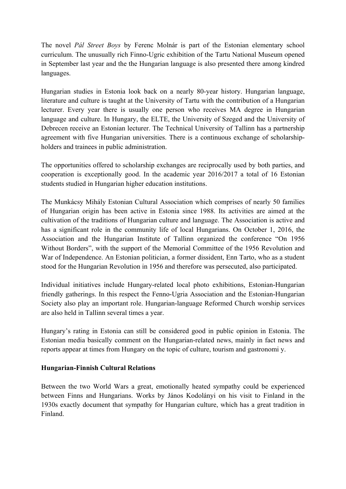The novel *Pál Street Boys* by Ferenc Molnár is part of the Estonian elementary school curriculum. The unusually rich Finno-Ugric exhibition of the Tartu National Museum opened in September last year and the the Hungarian language is also presented there among kindred languages.

Hungarian studies in Estonia look back on a nearly 80-year history. Hungarian language, literature and culture is taught at the University of Tartu with the contribution of a Hungarian lecturer. Every year there is usually one person who receives MA degree in Hungarian language and culture. In Hungary, the ELTE, the University of Szeged and the University of Debrecen receive an Estonian lecturer. The Technical University of Tallinn has a partnership agreement with five Hungarian universities. There is a continuous exchange of scholarshipholders and trainees in public administration.

The opportunities offered to scholarship exchanges are reciprocally used by both parties, and cooperation is exceptionally good. In the academic year 2016/2017 a total of 16 Estonian students studied in Hungarian higher education institutions.

The Munkácsy Mihály Estonian Cultural Association which comprises of nearly 50 families of Hungarian origin has been active in Estonia since 1988. Its activities are aimed at the cultivation of the traditions of Hungarian culture and language. The Association is active and has a significant role in the community life of local Hungarians. On October 1, 2016, the Association and the Hungarian Institute of Tallinn organized the conference "On 1956 Without Borders", with the support of the Memorial Committee of the 1956 Revolution and War of Independence. An Estonian politician, a former dissident, Enn Tarto, who as a student stood for the Hungarian Revolution in 1956 and therefore was persecuted, also participated.

Individual initiatives include Hungary-related local photo exhibitions, Estonian-Hungarian friendly gatherings. In this respect the Fenno-Ugria Association and the Estonian-Hungarian Society also play an important role. Hungarian-language Reformed Church worship services are also held in Tallinn several times a year.

Hungary's rating in Estonia can still be considered good in public opinion in Estonia. The Estonian media basically comment on the Hungarian-related news, mainly in fact news and reports appear at times from Hungary on the topic of culture, tourism and gastronomi y.

### **Hungarian-Finnish Cultural Relations**

Between the two World Wars a great, emotionally heated sympathy could be experienced between Finns and Hungarians. Works by János Kodolányi on his visit to Finland in the 1930s exactly document that sympathy for Hungarian culture, which has a great tradition in Finland.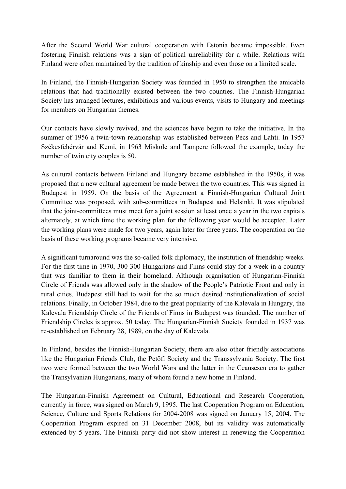After the Second World War cultural cooperation with Estonia became impossible. Even fostering Finnish relations was a sign of political unreliability for a while. Relations with Finland were often maintained by the tradition of kinship and even those on a limited scale.

In Finland, the Finnish-Hungarian Society was founded in 1950 to strengthen the amicable relations that had traditionally existed between the two counties. The Finnish-Hungarian Society has arranged lectures, exhibitions and various events, visits to Hungary and meetings for members on Hungarian themes.

Our contacts have slowly revived, and the sciences have begun to take the initiative. In the summer of 1956 a twin-town relationship was established between Pécs and Lahti. In 1957 Székesfehérvár and Kemi, in 1963 Miskolc and Tampere followed the example, today the number of twin city couples is 50.

As cultural contacts between Finland and Hungary became established in the 1950s, it was proposed that a new cultural agreement be made betwen the two countries. This was signed in Budapest in 1959. On the basis of the Agreement a Finnish-Hungarian Cultural Joint Committee was proposed, with sub-committees in Budapest and Helsinki. It was stipulated that the joint-committees must meet for a joint session at least once a year in the two capitals alternately, at which time the working plan for the following year would be accepted. Later the working plans were made for two years, again later for three years. The cooperation on the basis of these working programs became very intensive.

A significant turnaround was the so-called folk diplomacy, the institution of friendship weeks. For the first time in 1970, 300-300 Hungarians and Finns could stay for a week in a country that was familiar to them in their homeland. Although organisation of Hungarian-Finnish Circle of Friends was allowed only in the shadow of the People's Patriotic Front and only in rural cities. Budapest still had to wait for the so much desired institutionalization of social relations. Finally, in October 1984, due to the great popularity of the Kalevala in Hungary, the Kalevala Friendship Circle of the Friends of Finns in Budapest was founded. The number of Friendship Circles is approx. 50 today. The Hungarian-Finnish Society founded in 1937 was re-established on February 28, 1989, on the day of Kalevala.

In Finland, besides the Finnish-Hungarian Society, there are also other friendly associations like the Hungarian Friends Club, the Petőfi Society and the Transsylvania Society. The first two were formed between the two World Wars and the latter in the Ceausescu era to gather the Transylvanian Hungarians, many of whom found a new home in Finland.

The Hungarian-Finnish Agreement on Cultural, Educational and Research Cooperation, currently in force, was signed on March 9, 1995. The last Cooperation Program on Education, Science, Culture and Sports Relations for 2004-2008 was signed on January 15, 2004. The Cooperation Program expired on 31 December 2008, but its validity was automatically extended by 5 years. The Finnish party did not show interest in renewing the Cooperation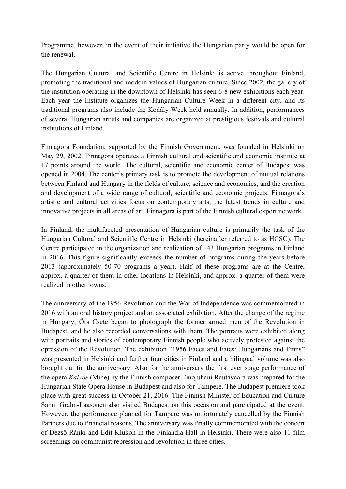Programme, however, in the event of their initiative the Hungarian party would be open for the renewal.

The Hungarian Cultural and Scientific Centre in Helsinki is active throughout Finland, promoting the traditional and modern values of Hungarian culture. Since 2002, the gallery of the institution operating in the downtown of Helsinki has seen 6-8 new exhibitions each year. Each year the Institute organizes the Hungarian Culture Week in a different city, and its traditional programs also include the Kodály Week held annually. In addition, performances of several Hungarian artists and companies are organized at prestigious festivals and cultural institutions of Finland.

Finnagora Foundation, supported by the Finnish Government, was founded in Helsinki on May 29, 2002. Finnagora operates a Finnish cultural and scientific and economic institute at 17 points around the world. The cultural, scientific and economic center of Budapest was opened in 2004. The center's primary task is to promote the development of mutual relations between Finland and Hungary in the fields of culture, science and economics, and the creation and development of a wide range of cultural, scientific and economic projects. Finnagora's artistic and cultural activities focus on contemporary arts, the latest trends in culture and innovative projects in all areas of art. Finnagora is part of the Finnish cultural export network.

In Finland, the multifaceted presentation of Hungarian culture is primarily the task of the Hungarian Cultural and Scientific Centre in Helsinki (hereinafter referred to as HCSC). The Centre participated in the organization and realization of 143 Hungarian programs in Finland in 2016. This figure significantly exceeds the number of programs during the years before 2013 (approximately 50-70 programs a year). Half of these programs are at the Centre, approx. a quarter of them in other locations in Helsinki, and approx. a quarter of them were realized in other towns.

The anniversary of the 1956 Revolution and the War of Independence was commemorated in 2016 with an oral history project and an associated exhibition. After the change of the regime in Hungary, Örs Csete began to photograph the former armed men of the Revolution in Budapest, and he also recorded conversations with them. The portraits were exhibited along with portraits and stories of contemporary Finnish people who actively protested against the opression of the Revolution. The exhibition "1956 Faces and Fates: Hungarians and Finns" was presented in Helsinki and further four cities in Finland and a bilingual volume was also brought out for the anniversary. Also for the anniversary the first ever stage performance of the opera *Kaivos* (Mine) by the Finnish composer Einojuhani Rautavaara was prepared for the Hungarian State Opera House in Budapest and also for Tampere. The Budapest premiere took place with great success in October 21, 2016. The Finnish Minister of Education and Culture Sanni Grahn-Laasonen also visited Budapest on this occasion and parcicipated at the event. However, the performence planned for Tampere was unfortunately cancelled by the Finnish Partners due to financial reasons. The anniversary was finally commemorated with the concert of Dezső Ránki and Edit Klukon in the Finlandia Hall in Helsinki. There were also 11 film screenings on communist repression and revolution in three cities.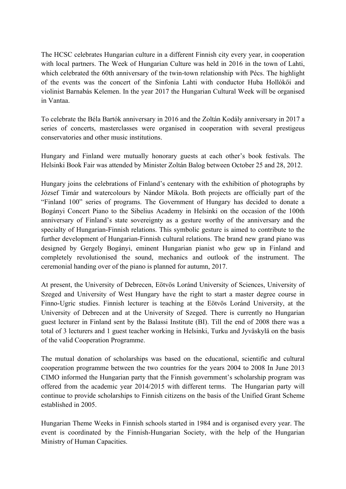The HCSC celebrates Hungarian culture in a different Finnish city every year, in cooperation with local partners. The Week of Hungarian Culture was held in 2016 in the town of Lahti, which celebrated the 60th anniversary of the twin-town relationship with Pécs. The highlight of the events was the concert of the Sinfonia Lahti with conductor Huba Hollókői and violinist Barnabás Kelemen. In the year 2017 the Hungarian Cultural Week will be organised in Vantaa.

To celebrate the Béla Bartók anniversary in 2016 and the Zoltán Kodály anniversary in 2017 a series of concerts, masterclasses were organised in cooperation with several prestigeus conservatories and other music institutions.

Hungary and Finland were mutually honorary guests at each other's book festivals. The Helsinki Book Fair was attended by Minister Zoltán Balog between October 25 and 28, 2012.

Hungary joins the celebrations of Finland's centenary with the exhibition of photographs by József Timár and watercolours by Nándor Mikola. Both projects are officially part of the "Finland 100" series of programs. The Government of Hungary has decided to donate a Bogányi Concert Piano to the Sibelius Academy in Helsinki on the occasion of the 100th anniversary of Finland's state sovereignty as a gesture worthy of the anniversary and the specialty of Hungarian-Finnish relations. This symbolic gesture is aimed to contribute to the further development of Hungarian-Finnish cultural relations. The brand new grand piano was designed by Gergely Bogányi, eminent Hungarian pianist who gew up in Finland and completely revolutionised the sound, mechanics and outlook of the instrument. The ceremonial handing over of the piano is planned for autumn, 2017.

At present, the University of Debrecen, Eötvös Loránd University of Sciences, University of Szeged and University of West Hungary have the right to start a master degree course in Finno-Ugric studies. Finnish lecturer is teaching at the Eötvös Loránd University, at the University of Debrecen and at the University of Szeged. There is currently no Hungarian guest lecturer in Finland sent by the Balassi Institute (BI). Till the end of 2008 there was a total of 3 lecturers and 1 guest teacher working in Helsinki, Turku and Jyväskylä on the basis of the valid Cooperation Programme.

The mutual donation of scholarships was based on the educational, scientific and cultural cooperation programme between the two countries for the years 2004 to 2008 In June 2013 CIMO informed the Hungarian party that the Finnish government's scholarship program was offered from the academic year 2014/2015 with different terms. The Hungarian party will continue to provide scholarships to Finnish citizens on the basis of the Unified Grant Scheme established in 2005.

Hungarian Theme Weeks in Finnish schools started in 1984 and is organised every year. The event is coordinated by the Finnish-Hungarian Society, with the help of the Hungarian Ministry of Human Capacities.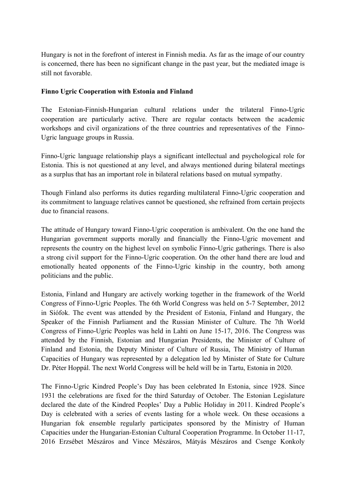Hungary is not in the forefront of interest in Finnish media. As far as the image of our country is concerned, there has been no significant change in the past year, but the mediated image is still not favorable.

# **Finno Ugric Cooperation with Estonia and Finland**

The Estonian-Finnish-Hungarian cultural relations under the trilateral Finno-Ugric cooperation are particularly active. There are regular contacts between the academic workshops and civil organizations of the three countries and representatives of the Finno-Ugric language groups in Russia.

Finno-Ugric language relationship plays a significant intellectual and psychological role for Estonia. This is not questioned at any level, and always mentioned during bilateral meetings as a surplus that has an important role in bilateral relations based on mutual sympathy.

Though Finland also performs its duties regarding multilateral Finno-Ugric cooperation and its commitment to language relatives cannot be questioned, she refrained from certain projects due to financial reasons.

The attitude of Hungary toward Finno-Ugric cooperation is ambivalent. On the one hand the Hungarian government supports morally and financially the Finno-Ugric movement and represents the country on the highest level on symbolic Finno-Ugric gatherings. There is also a strong civil support for the Finno-Ugric cooperation. On the other hand there are loud and emotionally heated opponents of the Finno-Ugric kinship in the country, both among politicians and the public.

Estonia, Finland and Hungary are actively working together in the framework of the World Congress of Finno-Ugric Peoples. The 6th World Congress was held on 5-7 September, 2012 in Siófok. The event was attended by the President of Estonia, Finland and Hungary, the Speaker of the Finnish Parliament and the Russian Minister of Culture. The 7th World Congress of Finno-Ugric Peoples was held in Lahti on June 15-17, 2016. The Congress was attended by the Finnish, Estonian and Hungarian Presidents, the Minister of Culture of Finland and Estonia, the Deputy Minister of Culture of Russia, The Ministry of Human Capacities of Hungary was represented by a delegation led by Minister of State for Culture Dr. Péter Hoppál. The next World Congress will be held will be in Tartu, Estonia in 2020.

The Finno-Ugric Kindred People's Day has been celebrated In Estonia, since 1928. Since 1931 the celebrations are fixed for the third Saturday of October. The Estonian Legislature declared the date of the Kindred Peoples' Day a Public Holiday in 2011. Kindred People's Day is celebrated with a series of events lasting for a whole week. On these occasions a Hungarian fok ensemble regularly participates sponsored by the Ministry of Human Capacities under the Hungarian-Estonian Cultural Cooperation Programme. In October 11-17, 2016 Erzsébet Mészáros and Vince Mészáros, Mátyás Mészáros and Csenge Konkoly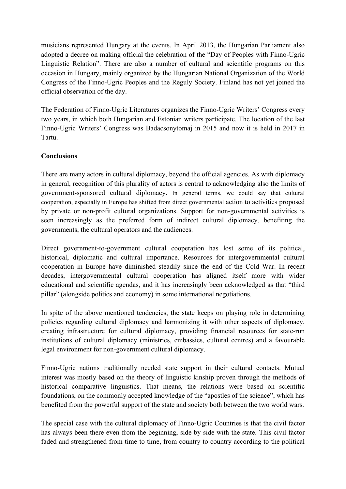musicians represented Hungary at the events. In April 2013, the Hungarian Parliament also adopted a decree on making official the celebration of the "Day of Peoples with Finno-Ugric Linguistic Relation". There are also a number of cultural and scientific programs on this occasion in Hungary, mainly organized by the Hungarian National Organization of the World Congress of the Finno-Ugric Peoples and the Reguly Society. Finland has not yet joined the official observation of the day.

The Federation of Finno-Ugric Literatures organizes the Finno-Ugric Writers' Congress every two years, in which both Hungarian and Estonian writers participate. The location of the last Finno-Ugric Writers' Congress was Badacsonytomaj in 2015 and now it is held in 2017 in Tartu.

# **Conclusions**

There are many actors in cultural diplomacy, beyond the official agencies. As with diplomacy in general, recognition of this plurality of actors is central to acknowledging also the limits of government-sponsored cultural diplomacy. In general terms, we could say that cultural cooperation, especially in Europe has shifted from direct governmental action to activities proposed by private or non-profit cultural organizations. Support for non-governmental activities is seen increasingly as the preferred form of indirect cultural diplomacy, benefiting the governments, the cultural operators and the audiences.

Direct government-to-government cultural cooperation has lost some of its political, historical, diplomatic and cultural importance. Resources for intergovernmental cultural cooperation in Europe have diminished steadily since the end of the Cold War. In recent decades, intergovernmental cultural cooperation has aligned itself more with wider educational and scientific agendas, and it has increasingly been acknowledged as that "third pillar" (alongside politics and economy) in some international negotiations.

In spite of the above mentioned tendencies, the state keeps on playing role in determining policies regarding cultural diplomacy and harmonizing it with other aspects of diplomacy, creating infrastructure for cultural diplomacy, providing financial resources for state-run institutions of cultural diplomacy (ministries, embassies, cultural centres) and a favourable legal environment for non-government cultural diplomacy.

Finno-Ugric nations traditionally needed state support in their cultural contacts. Mutual interest was mostly based on the theory of linguistic kinship proven through the methods of historical comparative linguistics. That means, the relations were based on scientific foundations, on the commonly accepted knowledge of the "apostles of the science", which has benefited from the powerful support of the state and society both between the two world wars.

The special case with the cultural diplomacy of Finno-Ugric Countries is that the civil factor has always been there even from the beginning, side by side with the state. This civil factor faded and strengthened from time to time, from country to country according to the political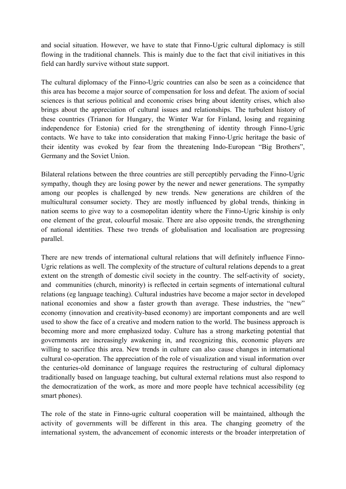and social situation. However, we have to state that Finno-Ugric cultural diplomacy is still flowing in the traditional channels. This is mainly due to the fact that civil initiatives in this field can hardly survive without state support.

The cultural diplomacy of the Finno-Ugric countries can also be seen as a coincidence that this area has become a major source of compensation for loss and defeat. The axiom of social sciences is that serious political and economic crises bring about identity crises, which also brings about the appreciation of cultural issues and relationships. The turbulent history of these countries (Trianon for Hungary, the Winter War for Finland, losing and regaining independence for Estonia) cried for the strengthening of identity through Finno-Ugric contacts. We have to take into consideration that making Finno-Ugric heritage the basic of their identity was evoked by fear from the threatening Indo-European "Big Brothers", Germany and the Soviet Union.

Bilateral relations between the three countries are still perceptibly pervading the Finno-Ugric sympathy, though they are losing power by the newer and newer generations. The sympathy among our peoples is challenged by new trends. New generations are children of the multicultural consumer society. They are mostly influenced by global trends, thinking in nation seems to give way to a cosmopolitan identity where the Finno-Ugric kinship is only one element of the great, colourful mosaic. There are also opposite trends, the strengthening of national identities. These two trends of globalisation and localisation are progressing parallel.

There are new trends of international cultural relations that will definitely influence Finno-Ugric relations as well. The complexity of the structure of cultural relations depends to a great extent on the strength of domestic civil society in the country. The self-activity of society, and communities (church, minority) is reflected in certain segments of international cultural relations (eg language teaching). Cultural industries have become a major sector in developed national economies and show a faster growth than average. These industries, the "new" economy (innovation and creativity-based economy) are important components and are well used to show the face of a creative and modern nation to the world. The business approach is becoming more and more emphasized today. Culture has a strong marketing potential that governments are increasingly awakening in, and recognizing this, economic players are willing to sacrifice this area. New trends in culture can also cause changes in international cultural co-operation. The appreciation of the role of visualization and visual information over the centuries-old dominance of language requires the restructuring of cultural diplomacy traditionally based on language teaching, but cultural external relations must also respond to the democratization of the work, as more and more people have technical accessibility (eg smart phones).

The role of the state in Finno-ugric cultural cooperation will be maintained, although the activity of governments will be different in this area. The changing geometry of the international system, the advancement of economic interests or the broader interpretation of